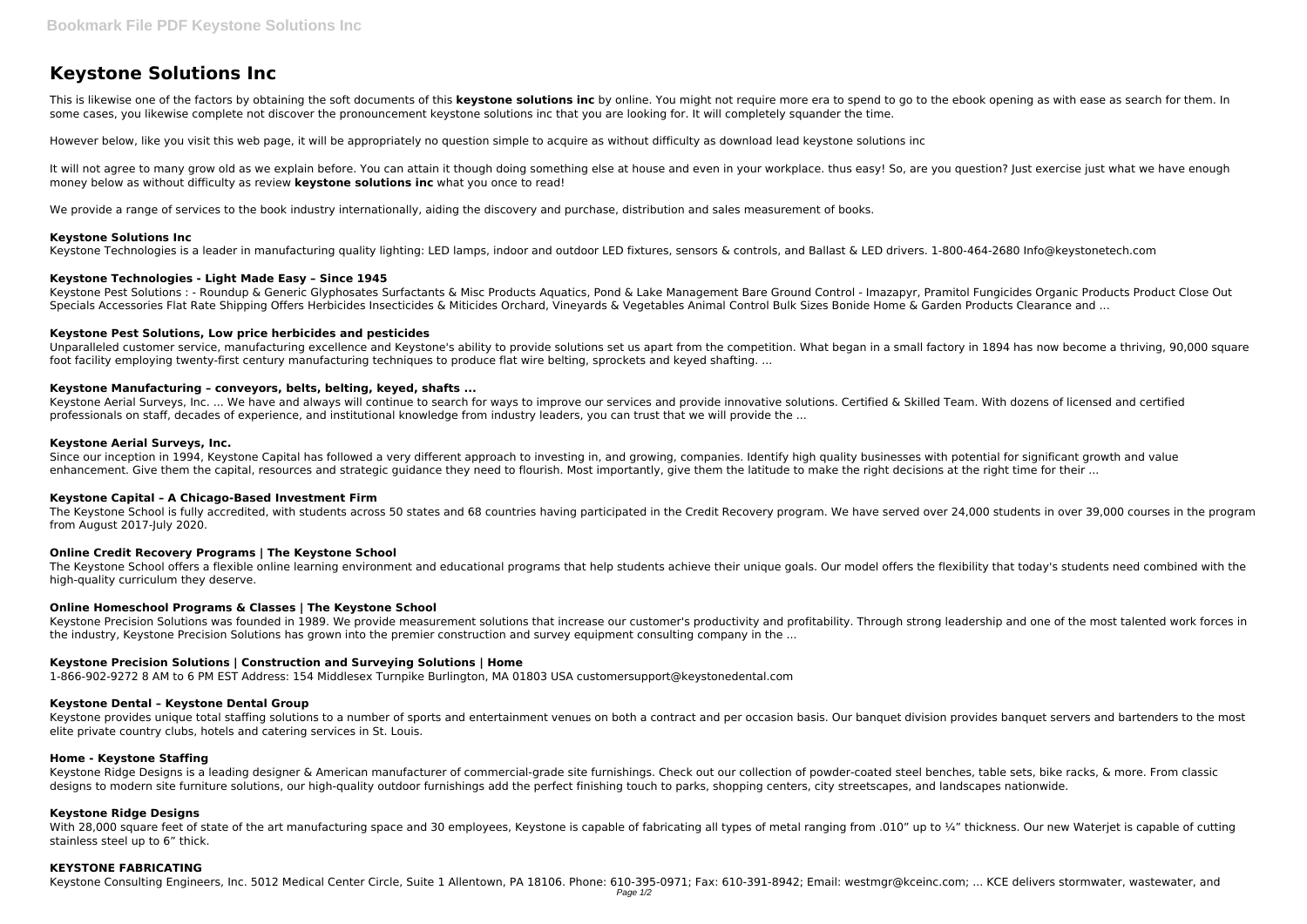# **Keystone Solutions Inc**

This is likewise one of the factors by obtaining the soft documents of this keystone solutions inc by online. You might not require more era to spend to go to the ebook opening as with ease as search for them. In some cases, you likewise complete not discover the pronouncement keystone solutions inc that you are looking for. It will completely squander the time.

It will not agree to many grow old as we explain before. You can attain it though doing something else at house and even in your workplace, thus easy! So, are you question? Just exercise just what we have enough money below as without difficulty as review **keystone solutions inc** what you once to read!

We provide a range of services to the book industry internationally, aiding the discovery and purchase, distribution and sales measurement of books.

However below, like you visit this web page, it will be appropriately no question simple to acquire as without difficulty as download lead keystone solutions inc

Unparalleled customer service, manufacturing excellence and Keystone's ability to provide solutions set us apart from the competition. What began in a small factory in 1894 has now become a thriving, 90,000 square foot facility employing twenty-first century manufacturing techniques to produce flat wire belting, sprockets and keyed shafting. ...

# **Keystone Solutions Inc**

Keystone Technologies is a leader in manufacturing quality lighting: LED lamps, indoor and outdoor LED fixtures, sensors & controls, and Ballast & LED drivers. 1-800-464-2680 Info@keystonetech.com

Keystone Aerial Surveys, Inc. ... We have and always will continue to search for ways to improve our services and provide innovative solutions. Certified & Skilled Team. With dozens of licensed and certified professionals on staff, decades of experience, and institutional knowledge from industry leaders, you can trust that we will provide the ...

# **Keystone Technologies - Light Made Easy – Since 1945**

Keystone Pest Solutions : - Roundup & Generic Glyphosates Surfactants & Misc Products Aquatics, Pond & Lake Management Bare Ground Control - Imazapyr, Pramitol Fungicides Organic Products Product Close Out Specials Accessories Flat Rate Shipping Offers Herbicides Insecticides & Miticides Orchard, Vineyards & Vegetables Animal Control Bulk Sizes Bonide Home & Garden Products Clearance and ...

Since our inception in 1994, Keystone Capital has followed a very different approach to investing in, and growing, companies. Identify high quality businesses with potential for significant growth and value enhancement. Give them the capital, resources and strategic guidance they need to flourish. Most importantly, give them the latitude to make the right decisions at the right time for their ...

The Keystone School is fully accredited, with students across 50 states and 68 countries having participated in the Credit Recovery program. We have served over 24,000 students in over 39,000 courses in the program from August 2017-July 2020.

# **Keystone Pest Solutions, Low price herbicides and pesticides**

# **Keystone Manufacturing – conveyors, belts, belting, keyed, shafts ...**

# **Keystone Aerial Surveys, Inc.**

With 28.000 square feet of state of the art manufacturing space and 30 employees. Keystone is capable of fabricating all types of metal ranging from .010" up to ¼" thickness. Our new Wateriet is capable of cutting stainless steel up to 6" thick.

## **Keystone Capital – A Chicago-Based Investment Firm**

## **Online Credit Recovery Programs | The Keystone School**

The Keystone School offers a flexible online learning environment and educational programs that help students achieve their unique goals. Our model offers the flexibility that today's students need combined with the high-quality curriculum they deserve.

## **Online Homeschool Programs & Classes | The Keystone School**

Keystone Precision Solutions was founded in 1989. We provide measurement solutions that increase our customer's productivity and profitability. Through strong leadership and one of the most talented work forces in the industry, Keystone Precision Solutions has grown into the premier construction and survey equipment consulting company in the ...

# **Keystone Precision Solutions | Construction and Surveying Solutions | Home**

1-866-902-9272 8 AM to 6 PM EST Address: 154 Middlesex Turnpike Burlington, MA 01803 USA customersupport@keystonedental.com

## **Keystone Dental – Keystone Dental Group**

Keystone provides unique total staffing solutions to a number of sports and entertainment venues on both a contract and per occasion basis. Our banquet division provides banquet servers and bartenders to the most elite private country clubs, hotels and catering services in St. Louis.

## **Home - Keystone Staffing**

Keystone Ridge Designs is a leading designer & American manufacturer of commercial-grade site furnishings. Check out our collection of powder-coated steel benches, table sets, bike racks, & more. From classic designs to modern site furniture solutions, our high-quality outdoor furnishings add the perfect finishing touch to parks, shopping centers, city streetscapes, and landscapes nationwide.

## **Keystone Ridge Designs**

## **KEYSTONE FABRICATING**

Keystone Consulting Engineers, Inc. 5012 Medical Center Circle, Suite 1 Allentown, PA 18106. Phone: 610-395-0971; Fax: 610-391-8942; Email: westmgr@kceinc.com; ... KCE delivers stormwater, wastewater, and